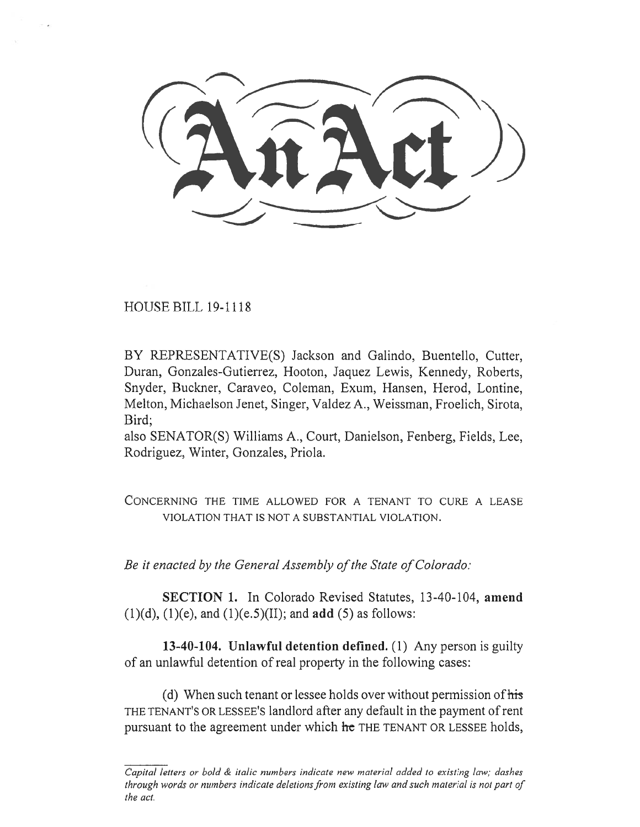HOUSE BILL 19-1118

BY REPRESENTATIVE(S) Jackson and Galindo, Buentello, Cutter, Duran, Gonzales-Gutierrez, Hooton, Jaquez Lewis, Kennedy, Roberts, Snyder, Buckner, Caraveo, Coleman, Exum, Hansen, Herod, Lontine, Melton, Michaelson Jenet, Singer, Valdez A., Weissman, Froelich, Sirota, Bird;

also SENATOR(S) Williams A., Court, Danielson, Fenberg, Fields, Lee, Rodriguez, Winter, Gonzales, Priola.

CONCERNING THE TIME ALLOWED FOR A TENANT TO CURE A LEASE VIOLATION THAT IS NOT A SUBSTANTIAL VIOLATION.

*Be it enacted by the General Assembly of the State of Colorado:* 

**SECTION 1.** In Colorado Revised Statutes, 13-40-104, **amend**  (1)(d), (1)(e), and (1)(e.5)(II); and **add** (5) as follows:

**13-40-104. Unlawful detention defined.** (1) Any person is guilty of an unlawful detention of real property in the following cases:

(d) When such tenant or lessee holds over without permission of his THE TENANT'S OR LESSEE'S landlord after any default in the payment of rent pursuant to the agreement under which **he** THE TENANT OR LESSEE holds,

*Capital letters or bold & italic numbers indicate new material added to existing law; dashes through words or numbers indicate deletions from existing law and such material is not part of the act.*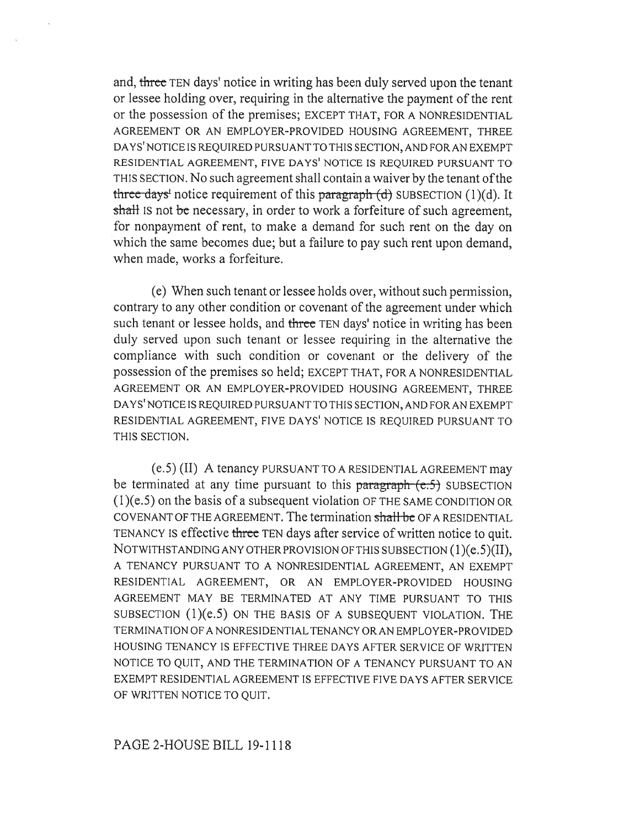and, three TEN days' notice in writing has been duly served upon the tenant or lessee holding over, requiring in the alternative the payment of the rent or the possession of the premises; EXCEPT THAT, FOR A NONRESIDENTIAL AGREEMENT OR AN EMPLOYER-PROVIDED HOUSING AGREEMENT, THREE DAYS' NOTICE IS REQUIRED PURSUANT TO THIS SECTION, AND FOR AN EXEMPT RESIDENTIAL AGREEMENT, FIVE DAYS' NOTICE IS REQUIRED PURSUANT TO THIS SECTION. No such agreement shall contain a waiver by the tenant of the three days<sup>t</sup> notice requirement of this paragraph  $(d)$  SUBSECTION (1)(d). It shall IS not be necessary, in order to work a forfeiture of such agreement, for nonpayment of rent, to make a demand for such rent on the day on which the same becomes due; but a failure to pay such rent upon demand, when made, works a forfeiture.

(e) When such tenant or lessee holds over, without such permission, contrary to any other condition or covenant of the agreement under which such tenant or lessee holds, and three TEN days' notice in writing has been duly served upon such tenant or lessee requiring in the alternative the compliance with such condition or covenant or the delivery of the possession of the premises so held; EXCEPT THAT, FOR A NONRESIDENTIAL AGREEMENT OR AN EMPLOYER-PROVIDED HOUSING AGREEMENT, THREE DAYS' NOTICE IS REQUIRED PURSUANT TO THIS SECTION, AND FOR AN EXEMPT RESIDENTIAL AGREEMENT, FIVE DAYS' NOTICE IS REQUIRED PURSUANT TO THIS SECTION.

(e.5) (II) A tenancy PURSUANT TO A RESIDENTIAL AGREEMENT may be terminated at any time pursuant to this paragraph  $(e.5)$  SUBSECTION (1)(e.5) on the basis of a subsequent violation OF THE SAME CONDITION OR COVENANT OF THE AGREEMENT. The termination shall be OF A RESIDENTIAL TENANCY IS effective three TEN days after service of written notice to quit. NOTWITHSTANDING ANY OTHER PROVISION OF THIS SUBSECTION (1)(e.5)(II), A TENANCY PURSUANT TO A NONRESIDENTIAL AGREEMENT, AN EXEMPT RESIDENTIAL AGREEMENT, OR AN EMPLOYER-PROVIDED HOUSING AGREEMENT MAY BE TERMINATED AT ANY TIME PURSUANT TO THIS SUBSECTION (1)(e.5) ON THE BASIS OF A SUBSEQUENT VIOLATION. THE TERMINATION OF A NONRESIDENTIAL TENANCY OR AN EMPLOYER-PROVIDED HOUSING TENANCY IS EFFECTIVE THREE DAYS AFTER SERVICE OF WRITTEN NOTICE TO QUIT, AND THE TERMINATION OF A TENANCY PURSUANT TO AN EXEMPT RESIDENTIAL AGREEMENT IS EFFECTIVE FIVE DAYS AFTER SERVICE OF WRITTEN NOTICE TO QUIT.

## PAGE 2-HOUSE BILL 19-1118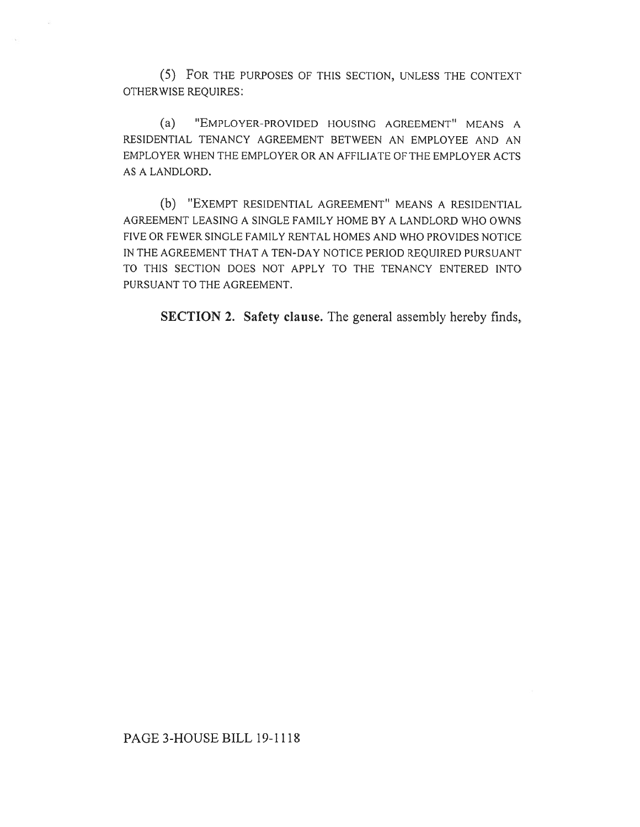(5) FOR THE PURPOSES OF THIS SECTION, UNLESS THE CONTEXT OTHERWISE REQUIRES:

(a) "EMPLOYER-PROVIDED HOUSING AGREEMENT" MEANS A RESIDENTIAL TENANCY AGREEMENT BETWEEN AN EMPLOYEE AND AN EMPLOYER WHEN THE EMPLOYER OR AN AFFILIATE OF THE EMPLOYER ACTS AS A LANDLORD.

(b) "EXEMPT RESIDENTIAL AGREEMENT" MEANS A RESIDENTIAL AGREEMENT LEASING A SINGLE FAMILY HOME BY A LANDLORD WHO OWNS FIVE OR FEWER SINGLE FAMILY RENTAL HOMES AND WHO PROVIDES NOTICE IN THE AGREEMENT THAT A TEN-DAY NOTICE PERIOD REQUIRED PURSUANT TO THIS SECTION DOES NOT APPLY TO THE TENANCY ENTERED INTO PURSUANT TO THE AGREEMENT.

**SECTION 2. Safety clause.** The general assembly hereby finds,